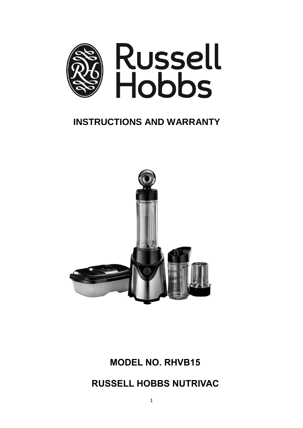

# **INSTRUCTIONS AND WARRANTY**



# **MODEL NO. RHVB15**

**RUSSELL HOBBS NUTRIVAC**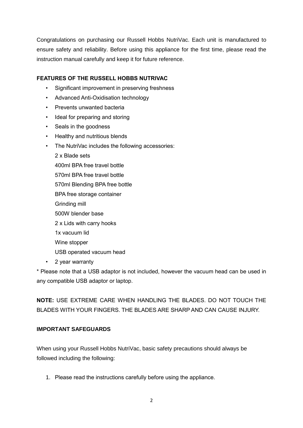Congratulations on purchasing our Russell Hobbs NutriVac. Each unit is manufactured to ensure safety and reliability. Before using this appliance for the first time, please read the instruction manual carefully and keep it for future reference.

# **FEATURES OF THE RUSSELL HOBBS NUTRIVAC**

- Significant improvement in preserving freshness
- Advanced Anti-Oxidisation technology
- Prevents unwanted bacteria
- Ideal for preparing and storing
- Seals in the goodness
- Healthy and nutritious blends
- The NutriVac includes the following accessories:

2 x Blade sets 400ml BPA free travel bottle 570ml BPA free travel bottle 570ml Blending BPA free bottle BPA free storage container Grinding mill 500W blender base 2 x Lids with carry hooks 1x vacuum lid Wine stopper

- USB operated vacuum head
- 2 year warranty

\* Please note that a USB adaptor is not included, however the vacuum head can be used in any compatible USB adaptor or laptop.

**NOTE:** USE EXTREME CARE WHEN HANDLING THE BLADES. DO NOT TOUCH THE BLADES WITH YOUR FINGERS. THE BLADES ARE SHARP AND CAN CAUSE INJURY.

#### **IMPORTANT SAFEGUARDS**

When using your Russell Hobbs NutriVac, basic safety precautions should always be followed including the following:

1. Please read the instructions carefully before using the appliance.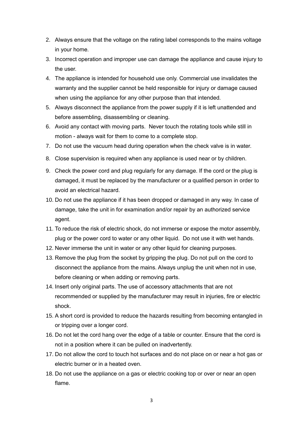- 2. Always ensure that the voltage on the rating label corresponds to the mains voltage in your home.
- 3. Incorrect operation and improper use can damage the appliance and cause injury to the user.
- 4. The appliance is intended for household use only. Commercial use invalidates the warranty and the supplier cannot be held responsible for injury or damage caused when using the appliance for any other purpose than that intended.
- 5. Always disconnect the appliance from the power supply if it is left unattended and before assembling, disassembling or cleaning.
- 6. Avoid any contact with moving parts. Never touch the rotating tools while still in motion - always wait for them to come to a complete stop.
- 7. Do not use the vacuum head during operation when the check valve is in water.
- 8. Close supervision is required when any appliance is used near or by children.
- 9. Check the power cord and plug regularly for any damage. If the cord or the plug is damaged, it must be replaced by the manufacturer or a qualified person in order to avoid an electrical hazard.
- 10. Do not use the appliance if it has been dropped or damaged in any way. In case of damage, take the unit in for examination and/or repair by an authorized service agent.
- 11. To reduce the risk of electric shock, do not immerse or expose the motor assembly, plug or the power cord to water or any other liquid. Do not use it with wet hands.
- 12. Never immerse the unit in water or any other liquid for cleaning purposes.
- 13. Remove the plug from the socket by gripping the plug. Do not pull on the cord to disconnect the appliance from the mains. Always unplug the unit when not in use, before cleaning or when adding or removing parts.
- 14. Insert only original parts. The use of accessory attachments that are not recommended or supplied by the manufacturer may result in injuries, fire or electric shock.
- 15. A short cord is provided to reduce the hazards resulting from becoming entangled in or tripping over a longer cord.
- 16. Do not let the cord hang over the edge of a table or counter. Ensure that the cord is not in a position where it can be pulled on inadvertently.
- 17. Do not allow the cord to touch hot surfaces and do not place on or near a hot gas or electric burner or in a heated oven.
- 18. Do not use the appliance on a gas or electric cooking top or over or near an open flame.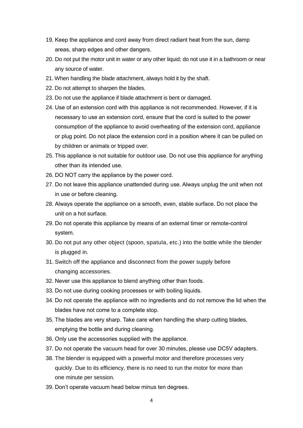- 19. Keep the appliance and cord away from direct radiant heat from the sun, damp areas, sharp edges and other dangers.
- 20. Do not put the motor unit in water or any other liquid; do not use it in a bathroom or near any source of water.
- 21. When handling the blade attachment, always hold it by the shaft.
- 22. Do not attempt to sharpen the blades.
- 23. Do not use the appliance if blade attachment is bent or damaged.
- 24. Use of an extension cord with this appliance is not recommended. However, if it is necessary to use an extension cord, ensure that the cord is suited to the power consumption of the appliance to avoid overheating of the extension cord, appliance or plug point. Do not place the extension cord in a position where it can be pulled on by children or animals or tripped over.
- 25. This appliance is not suitable for outdoor use. Do not use this appliance for anything other than its intended use.
- 26. DO NOT carry the appliance by the power cord.
- 27. Do not leave this appliance unattended during use. Always unplug the unit when not in use or before cleaning.
- 28. Always operate the appliance on a smooth, even, stable surface. Do not place the unit on a hot surface.
- 29. Do not operate this appliance by means of an external timer or remote-control system.
- 30. Do not put any other object (spoon, spatula, etc.) into the bottle while the blender is plugged in.
- 31. Switch off the appliance and disconnect from the power supply before changing accessories.
- 32. Never use this appliance to blend anything other than foods.
- 33. Do not use during cooking processes or with boiling liquids.
- 34. Do not operate the appliance with no ingredients and do not remove the lid when the blades have not come to a complete stop.
- 35. The blades are very sharp. Take care when handling the sharp cutting blades, emptying the bottle and during cleaning.
- 36. Only use the accessories supplied with the appliance.
- 37. Do not operate the vacuum head for over 30 minutes, please use DC5V adapters.
- 38. The blender is equipped with a powerful motor and therefore processes very quickly. Due to its efficiency, there is no need to run the motor for more than one minute per session.
- 39. Don't operate vacuum head below minus ten degrees.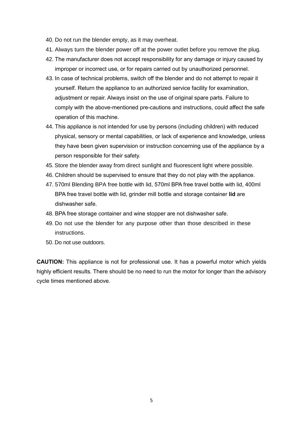- 40. Do not run the blender empty, as it may overheat.
- 41. Always turn the blender power off at the power outlet before you remove the plug.
- 42. The manufacturer does not accept responsibility for any damage or injury caused by improper or incorrect use, or for repairs carried out by unauthorized personnel.
- 43. In case of technical problems, switch off the blender and do not attempt to repair it yourself. Return the appliance to an authorized service facility for examination, adjustment or repair. Always insist on the use of original spare parts. Failure to comply with the above-mentioned pre-cautions and instructions, could affect the safe operation of this machine.
- 44. This appliance is not intended for use by persons (including children) with reduced physical, sensory or mental capabilities, or lack of experience and knowledge, unless they have been given supervision or instruction concerning use of the appliance by a person responsible for their safety.
- 45. Store the blender away from direct sunlight and fluorescent light where possible.
- 46. Children should be supervised to ensure that they do not play with the appliance.
- 47. 570ml Blending BPA free bottle with lid, 570ml BPA free travel bottle with lid, 400ml BPA free travel bottle with lid, grinder mill bottle and storage container **lid** are dishwasher safe.
- 48. BPA free storage container and wine stopper are not dishwasher safe.
- 49. Do not use the blender for any purpose other than those described in these instructions.
- 50. Do not use outdoors.

**CAUTION:** This appliance is not for professional use. It has a powerful motor which yields highly efficient results. There should be no need to run the motor for longer than the advisory cycle times mentioned above.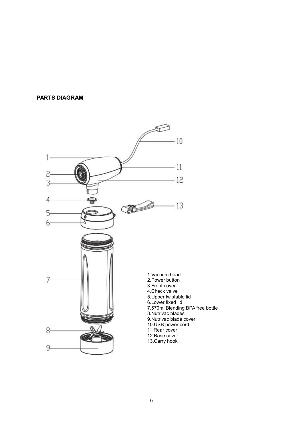#### **PARTS DIAGRAM**

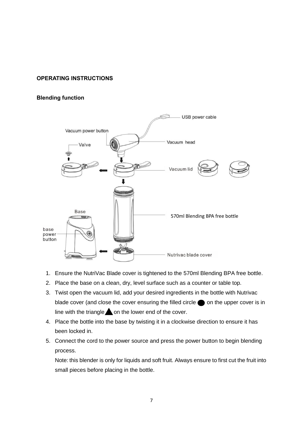### **OPERATING INSTRUCTIONS**

#### **Blending function**



- 1. Ensure the NutriVac Blade cover is tightened to the 570ml Blending BPA free bottle.
- 2. Place the base on a clean, dry, level surface such as a counter or table top.
- 3. Twist open the vacuum lid, add your desired ingredients in the bottle with Nutrivac blade cover (and close the cover ensuring the filled circle  $\bigcirc$  on the upper cover is in line with the triangle  $\triangle$  on the lower end of the cover.
- 4. Place the bottle into the base by twisting it in a clockwise direction to ensure it has been locked in.
- 5. Connect the cord to the power source and press the power button to begin blending process.

Note: this blender is only for liquids and soft fruit. Always ensure to first cut the fruit into small pieces before placing in the bottle.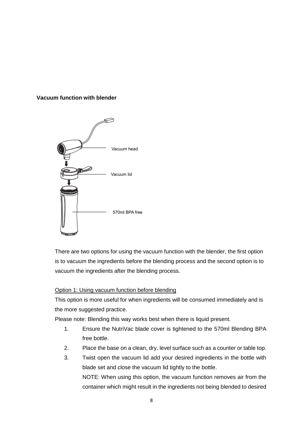#### **Vacuum function with blender**



There are two options for using the vacuum function with the blender, the first option is to vacuum the ingredients before the blending process and the second option is to vacuum the ingredients after the blending process.

#### Option 1: Using vacuum function before blending

This option is more useful for when ingredients will be consumed immediately and is the more suggested practice.

Please note: Blending this way works best when there is liquid present.

- 1. Ensure the NutriVac blade cover is tightened to the 570ml Blending BPA free bottle.
- 2. Place the base on a clean, dry, level surface such as a counter or table top.
- 3. Twist open the vacuum lid add your desired ingredients in the bottle with blade set and close the vacuum lid tightly to the bottle. NOTE: When using this option, the vacuum function removes air from the container which might result in the ingredients not being blended to desired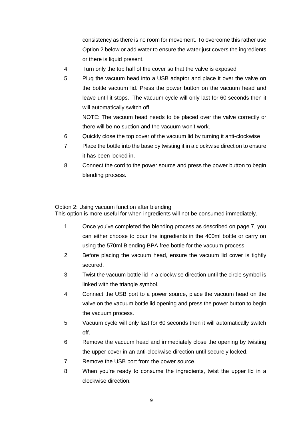consistency as there is no room for movement. To overcome this rather use Option 2 below or add water to ensure the water just covers the ingredients or there is liquid present.

- 4. Turn only the top half of the cover so that the valve is exposed
- 5. Plug the vacuum head into a USB adaptor and place it over the valve on the bottle vacuum lid. Press the power button on the vacuum head and leave until it stops. The vacuum cycle will only last for 60 seconds then it will automatically switch off

NOTE: The vacuum head needs to be placed over the valve correctly or there will be no suction and the vacuum won't work.

- 6. Quickly close the top cover of the vacuum lid by turning it anti-clockwise
- 7. Place the bottle into the base by twisting it in a clockwise direction to ensure it has been locked in.
- 8. Connect the cord to the power source and press the power button to begin blending process.

#### Option 2: Using vacuum function after blending

This option is more useful for when ingredients will not be consumed immediately.

- 1. Once you've completed the blending process as described on page 7, you can either choose to pour the ingredients in the 400ml bottle or carry on using the 570ml Blending BPA free bottle for the vacuum process.
- 2. Before placing the vacuum head, ensure the vacuum lid cover is tightly secured.
- 3. Twist the vacuum bottle lid in a clockwise direction until the circle symbol is linked with the triangle symbol.
- 4. Connect the USB port to a power source, place the vacuum head on the valve on the vacuum bottle lid opening and press the power button to begin the vacuum process.
- 5. Vacuum cycle will only last for 60 seconds then it will automatically switch off.
- 6. Remove the vacuum head and immediately close the opening by twisting the upper cover in an anti-clockwise direction until securely locked.
- 7. Remove the USB port from the power source.
- 8. When you're ready to consume the ingredients, twist the upper lid in a clockwise direction.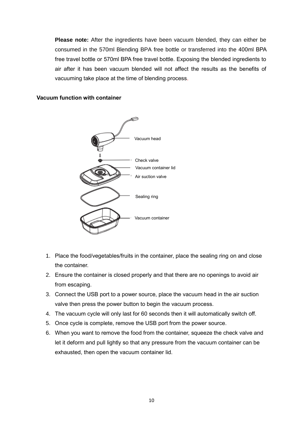**Please note:** After the ingredients have been vacuum blended, they can either be consumed in the 570ml Blending BPA free bottle or transferred into the 400ml BPA free travel bottle or 570ml BPA free travel bottle. Exposing the blended ingredients to air after it has been vacuum blended will not affect the results as the benefits of vacuuming take place at the time of blending process.

### **Vacuum function with container**



- 1. Place the food/vegetables/fruits in the container, place the sealing ring on and close the container.
- 2. Ensure the container is closed properly and that there are no openings to avoid air from escaping.
- 3. Connect the USB port to a power source, place the vacuum head in the air suction valve then press the power button to begin the vacuum process.
- 4. The vacuum cycle will only last for 60 seconds then it will automatically switch off.
- 5. Once cycle is complete, remove the USB port from the power source.
- 6. When you want to remove the food from the container, squeeze the check valve and let it deform and pull lightly so that any pressure from the vacuum container can be exhausted, then open the vacuum container lid.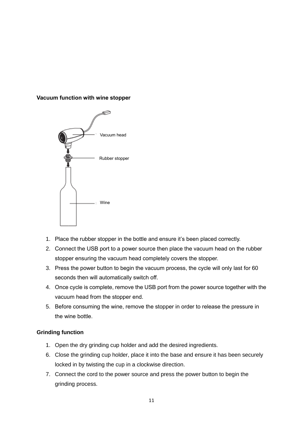#### **Vacuum function with wine stopper**



- 1. Place the rubber stopper in the bottle and ensure it's been placed correctly.
- 2. Connect the USB port to a power source then place the vacuum head on the rubber stopper ensuring the vacuum head completely covers the stopper.
- 3. Press the power button to begin the vacuum process, the cycle will only last for 60 seconds then will automatically switch off.
- 4. Once cycle is complete, remove the USB port from the power source together with the vacuum head from the stopper end.
- 5. Before consuming the wine, remove the stopper in order to release the pressure in the wine bottle.

# **Grinding function**

- 1. Open the dry grinding cup holder and add the desired ingredients.
- 6. Close the grinding cup holder, place it into the base and ensure it has been securely locked in by twisting the cup in a clockwise direction.
- 7. Connect the cord to the power source and press the power button to begin the grinding process.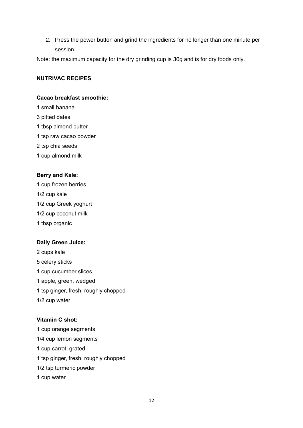2. Press the power button and grind the ingredients for no longer than one minute per session.

Note: the maximum capacity for the dry grinding cup is 30g and is for dry foods only.

#### **NUTRIVAC RECIPES**

# **Cacao breakfast smoothie:**

- 1 small banana
- 3 pitted dates
- 1 tbsp almond butter
- 1 tsp raw cacao powder
- 2 tsp chia seeds
- 1 cup almond milk

#### **Berry and Kale:**

- 1 cup frozen berries
- 1/2 cup kale
- 1/2 cup Greek yoghurt
- 1/2 cup coconut milk
- 1 tbsp organic

# **Daily Green Juice:**

- 2 cups kale 5 celery sticks 1 cup cucumber slices 1 apple, green, wedged 1 tsp ginger, fresh, roughly chopped 1/2 cup water
- 

# **Vitamin C shot:**

1 cup orange segments 1/4 cup lemon segments 1 cup carrot, grated 1 tsp ginger, fresh, roughly chopped 1/2 tsp turmeric powder 1 cup water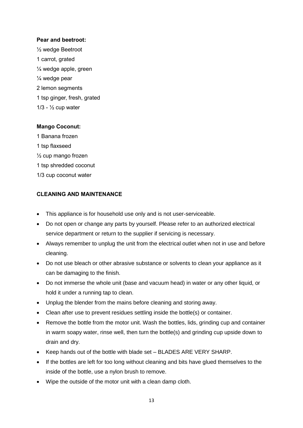#### **Pear and beetroot:**

½ wedge Beetroot 1 carrot, grated ¼ wedge apple, green ¼ wedge pear 2 lemon segments 1 tsp ginger, fresh, grated  $1/3 - \frac{1}{2}$  cup water

#### **Mango Coconut:**

1 Banana frozen 1 tsp flaxseed ½ cup mango frozen 1 tsp shredded coconut 1/3 cup coconut water

#### **CLEANING AND MAINTENANCE**

- This appliance is for household use only and is not user-serviceable.
- Do not open or change any parts by yourself. Please refer to an authorized electrical service department or return to the supplier if servicing is necessary.
- Always remember to unplug the unit from the electrical outlet when not in use and before cleaning.
- Do not use bleach or other abrasive substance or solvents to clean your appliance as it can be damaging to the finish.
- Do not immerse the whole unit (base and vacuum head) in water or any other liquid, or hold it under a running tap to clean.
- Unplug the blender from the mains before cleaning and storing away.
- Clean after use to prevent residues settling inside the bottle(s) or container.
- Remove the bottle from the motor unit. Wash the bottles, lids, grinding cup and container in warm soapy water, rinse well, then turn the bottle(s) and grinding cup upside down to drain and dry.
- Keep hands out of the bottle with blade set BLADES ARE VERY SHARP.
- If the bottles are left for too long without cleaning and bits have glued themselves to the inside of the bottle, use a nylon brush to remove.
- Wipe the outside of the motor unit with a clean damp cloth.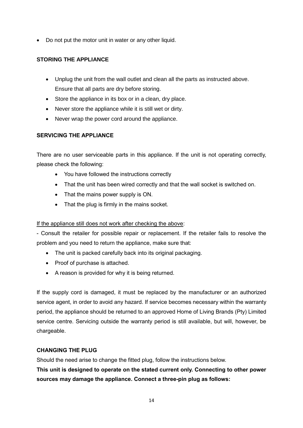• Do not put the motor unit in water or any other liquid.

# **STORING THE APPLIANCE**

- Unplug the unit from the wall outlet and clean all the parts as instructed above. Ensure that all parts are dry before storing.
- Store the appliance in its box or in a clean, dry place.
- Never store the appliance while it is still wet or dirty.
- Never wrap the power cord around the appliance.

# **SERVICING THE APPLIANCE**

There are no user serviceable parts in this appliance. If the unit is not operating correctly, please check the following:

- You have followed the instructions correctly
- That the unit has been wired correctly and that the wall socket is switched on.
- That the mains power supply is ON.
- That the plug is firmly in the mains socket.

# If the appliance still does not work after checking the above:

- Consult the retailer for possible repair or replacement. If the retailer fails to resolve the problem and you need to return the appliance, make sure that:

- The unit is packed carefully back into its original packaging.
- Proof of purchase is attached.
- A reason is provided for why it is being returned.

If the supply cord is damaged, it must be replaced by the manufacturer or an authorized service agent, in order to avoid any hazard. If service becomes necessary within the warranty period, the appliance should be returned to an approved Home of Living Brands (Pty) Limited service centre. Servicing outside the warranty period is still available, but will, however, be chargeable.

# **CHANGING THE PLUG**

Should the need arise to change the fitted plug, follow the instructions below.

**This unit is designed to operate on the stated current only. Connecting to other power sources may damage the appliance. Connect a three-pin plug as follows:**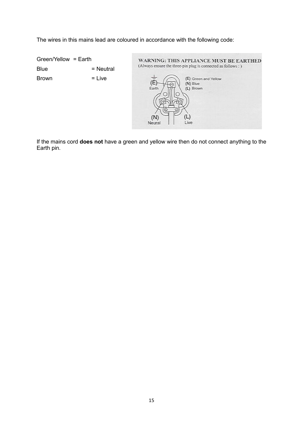The wires in this mains lead are coloured in accordance with the following code:

Green/Yellow = Earth WARNING: THIS APPLIANCE MUST BE EARTHED (Always ensure the three-pin plug is connected as follows : )  $Blue = Neutral$  $Brown$  = Live  $\frac{1}{\left( \bar{E}\right) }$ (E) Green and Yellow  $(N)$  Blue Earth (L) Brown (L)  $(N)$ Neural Live

If the mains cord **does not** have a green and yellow wire then do not connect anything to the Earth pin.